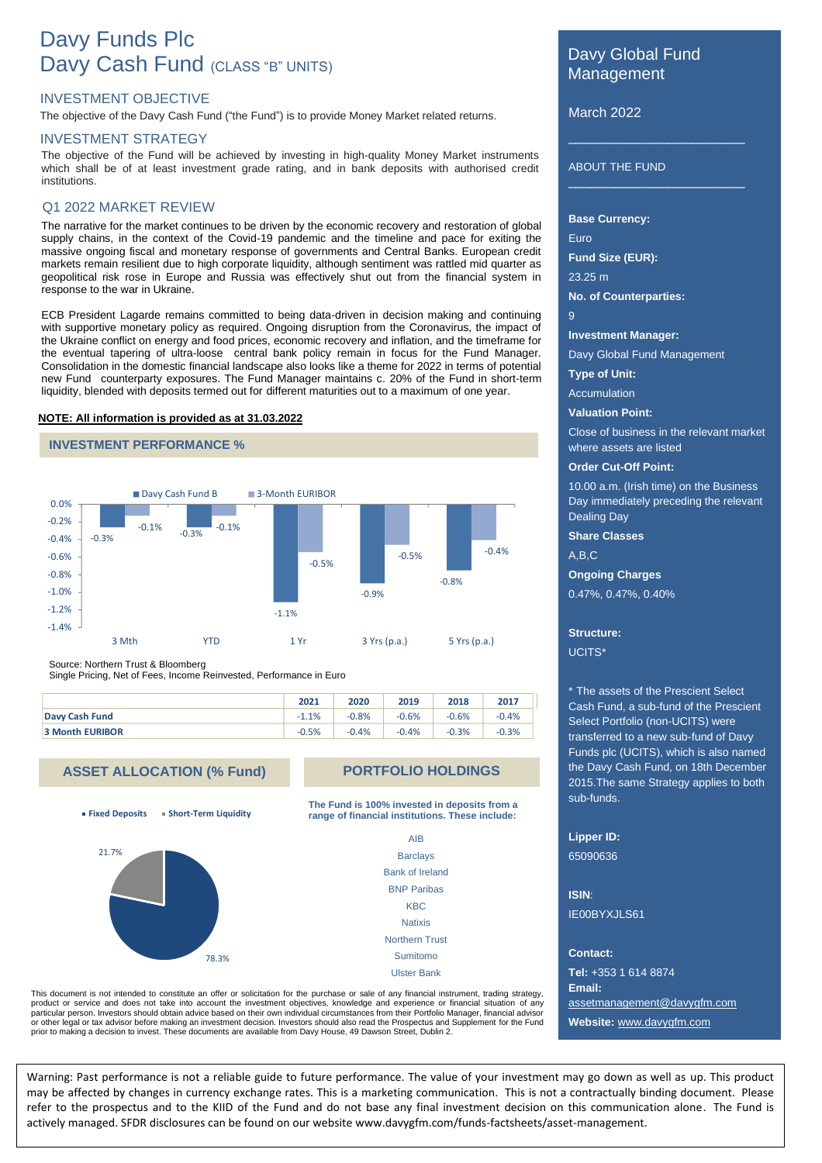# Davy Funds Plc Davy Cash Fund (CLASS "B" UNITS)

# INVESTMENT OBJECTIVE

The objective of the Davy Cash Fund ("the Fund") is to provide Money Market related returns.

#### INVESTMENT STRATEGY

The objective of the Fund will be achieved by investing in high-quality Money Market instruments<br>which abell he of at least investment and a rating and in healt depenits with authorized and it. which shall be of at least investment grade rating, and in bank deposits with authorised credit institutions.

#### Q1 2022 MARKET REVIEW

The narrative for the market continues to be driven by the economic recovery and restoration of global supply chains, in the context of the Covid-19 pandemic and the timeline and pace for exiting the massive ongoing fiscal and monetary response of governments and Central Banks. European credit markets remain resilient due to high corporate liquidity, although sentiment was rattled mid quarter as geopolitical risk rose in Europe and Russia was effectively shut out from the financial system in response to the war in Ukraine.

ECB President Lagarde remains committed to being data-driven in decision making and continuing with supportive monetary policy as required. Ongoing disruption from the Coronavirus, the impact of the Ukraine conflict on energy and food prices, economic recovery and inflation, and the timeframe for the eventual tapering of ultra-loose central bank policy remain in focus for the Fund Manager. Consolidation in the domestic financial landscape also looks like a theme for 2022 in terms of potential new Fund counterparty exposures. The Fund Manager maintains c. 20% of the Fund in short-term liquidity, blended with deposits termed out for different maturities out to a maximum of one year.

#### **NOTE: All information is provided as at 31.03.2022**





Source: Northern Trust & Bloomberg

Single Pricing, Net of Fees, Income Reinvested, Performance in Euro

|                        | 2021    | 2020    | 2019    | 2018    | 2017    |
|------------------------|---------|---------|---------|---------|---------|
| Davy Cash Fund         | $-1.1%$ | $-0.8%$ | $-0.6%$ | $-0.6%$ | $-0.4%$ |
| <b>3 Month EURIBOR</b> | $-0.5%$ | $-0.4%$ | $-0.4%$ | $-0.3%$ | $-0.3%$ |

# **ASSET ALLOCATION (% Fund)**

**Fixed Deposits Short-Term Liquidity**



### **PORTFOLIO HOLDINGS**

**The Fund is 100% invested in deposits from a range of financial institutions. These include:**

> AIB **Barclays** Bank of Ireland BNP Paribas **KBC Natixis** Northern Trust Sumitomo Ulster Bank

This document is not intended to constitute an offer or solicitation for the purchase or sale of any financial instrument, trading strategy, product or service and does not take into account the investment objectives, knowledge and experience or financial situation of any particular person. Investors should obtain advice based on their own individual circumstances from their Portfolio Manager, financial advisor or other legal or tax advisor before making an investment decision. Investors should also read the Prospectus and Supplement for the Fund prior to making a decision to invest. These documents are available from Davy House, 49 Dawson Street, Dublin 2.

# Davy Global Fund Management

 $\overline{\phantom{a}}$  , and the set of the set of the set of the set of the set of the set of the set of the set of the set of the set of the set of the set of the set of the set of the set of the set of the set of the set of the s

 $\overline{\phantom{a}}$  , and the set of the set of the set of the set of the set of the set of the set of the set of the set of the set of the set of the set of the set of the set of the set of the set of the set of the set of the s

March 2022

ABOUT THE FUND

#### **Base Currency:**

Euro **Fund Size (EUR):**

23.25 m

**No. of Counterparties:**

**Investment Manager:**

Davy Global Fund Management

**Type of Unit:**

9

Accumulation

**Valuation Point:**

Close of business in the relevant market where assets are listed

**Order Cut-Off Point:**

10.00 a.m. (Irish time) on the Business Day immediately preceding the relevant Dealing Day

**Share Classes**

A,B,C

**Ongoing Charges**

0.47%, 0.47%, 0.40%

# **Structure:** UCITS\*

\* The assets of the Prescient Select Cash Fund, a sub-fund of the Prescient Select Portfolio (non-UCITS) were transferred to a new sub-fund of Davy Funds plc (UCITS), which is also named the Davy Cash Fund, on 18th December 2015.The same Strategy applies to both sub-funds.

**Lipper ID:**

65090636

**ISIN**: IE00BYXJLS61

**Contact:**

**Tel:** +353 1 614 8874 **Email:** [assetmanagement@davyg](mailto:assetmanagement@davy)fm.com **Website:** www.davygfm.com

Warning: Past performance is not a reliable guide to future performance. The value of your investment may go down as well as up. This product may be affected by changes in currency exchange rates. This is a marketing communication. This is not a contractually binding document. Please refer to the prospectus and to the KIID of the Fund and do not base any final investment decision on this communication alone. The Fund is actively managed. SFDR disclosures can be found on our website www.davygfm.com/funds-factsheets/asset-management.